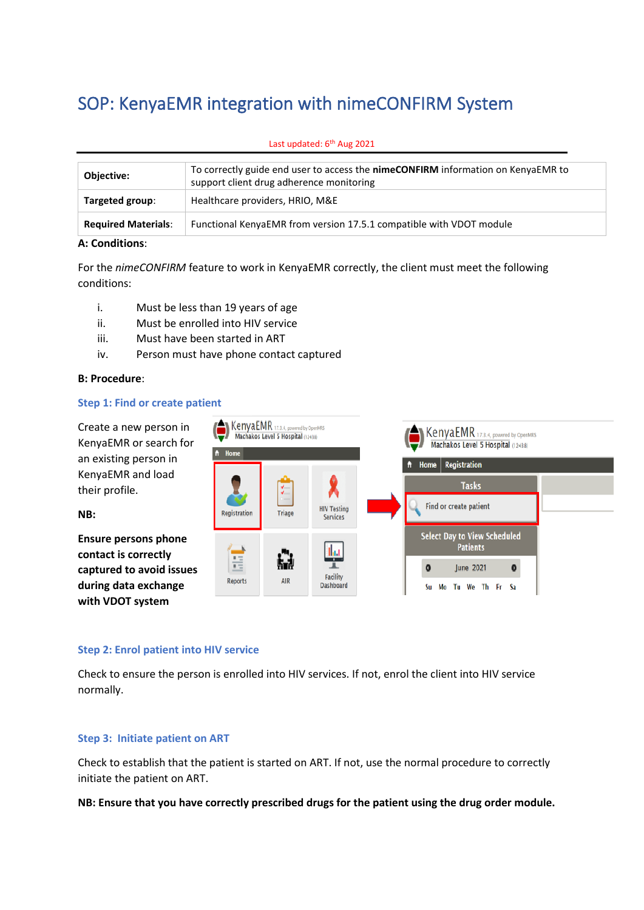# SOP: KenyaEMR integration with nimeCONFIRM System

| Objective:                 | To correctly guide end user to access the nimeCONFIRM information on KenyaEMR to<br>support client drug adherence monitoring |
|----------------------------|------------------------------------------------------------------------------------------------------------------------------|
| Targeted group:            | Healthcare providers, HRIO, M&E                                                                                              |
| <b>Required Materials:</b> | Functional KenyaEMR from version 17.5.1 compatible with VDOT module                                                          |

#### Last updated: 6<sup>th</sup> Aug 2021

#### **A: Conditions**:

For the *nimeCONFIRM* feature to work in KenyaEMR correctly, the client must meet the following conditions:

- i. Must be less than 19 years of age
- ii. Must be enrolled into HIV service
- iii. Must have been started in ART
- iv. Person must have phone contact captured

## **B: Procedure**:

#### **Step 1: Find or create patient**

Create a new person in KenyaEMR or search for an existing person in KenyaEMR and load their profile.

**NB:** 

**Ensure persons phone contact is correctly captured to avoid issues during data exchange with VDOT system**



#### **Step 2: Enrol patient into HIV service**

Check to ensure the person is enrolled into HIV services. If not, enrol the client into HIV service normally.

## **Step 3: Initiate patient on ART**

Check to establish that the patient is started on ART. If not, use the normal procedure to correctly initiate the patient on ART.

**NB: Ensure that you have correctly prescribed drugs for the patient using the drug order module.**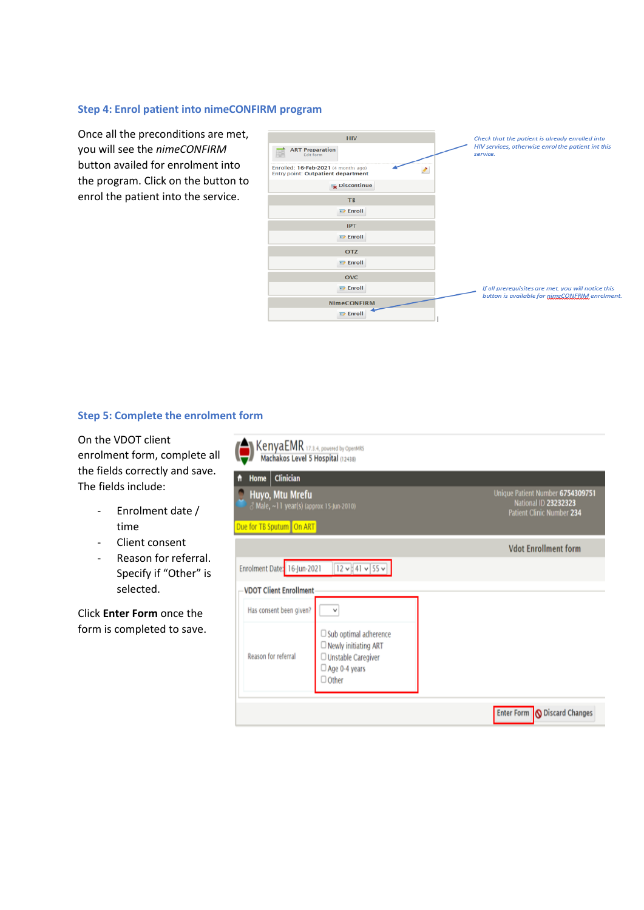## **Step 4: Enrol patient into nimeCONFIRM program**

Once all the preconditions are met, you will see the *nimeCONFIRM* button availed for enrolment into the program. Click on the button to enrol the patient into the service.



## **Step 5: Complete the enrolment form**

On the VDOT client enrolment form, complete all the fields correctly and save. The fields include:

- Enrolment date / time
- Client consent
- Reason for referral. Specify if "Other" is selected.

Click **Enter Form** once the form is completed to save.

| KenyaEMR 17.3.4, powered by OpenMRS<br>Machakos Level 5 Hospital (12438)                                     |                                                                                                                           |                                                                                       |
|--------------------------------------------------------------------------------------------------------------|---------------------------------------------------------------------------------------------------------------------------|---------------------------------------------------------------------------------------|
| Clinician<br>Home<br>Huyo, Mtu Mrefu<br>Male, ~11 year(s) (approx 15-Jun-2010)<br>Due for TB Sputum   On ART |                                                                                                                           | Unique Patient Number 6754309751<br>National ID 23232323<br>Patient Clinic Number 234 |
| Enrolment Date: 16-Jun-2021                                                                                  | $12 \times 41 \times 55 \times$                                                                                           | <b>Vdot Enrollment form</b>                                                           |
| <b>VDOT Client Enrollment</b>                                                                                |                                                                                                                           |                                                                                       |
| Has consent been given?<br>Reason for referral                                                               | v<br>$\Box$ Sub optimal adherence<br>$\Box$ Newly initiating ART<br>Unstable Caregiver<br>□ Age 0-4 years<br>$\Box$ Other |                                                                                       |
|                                                                                                              |                                                                                                                           | Enter Form   O Discard Changes                                                        |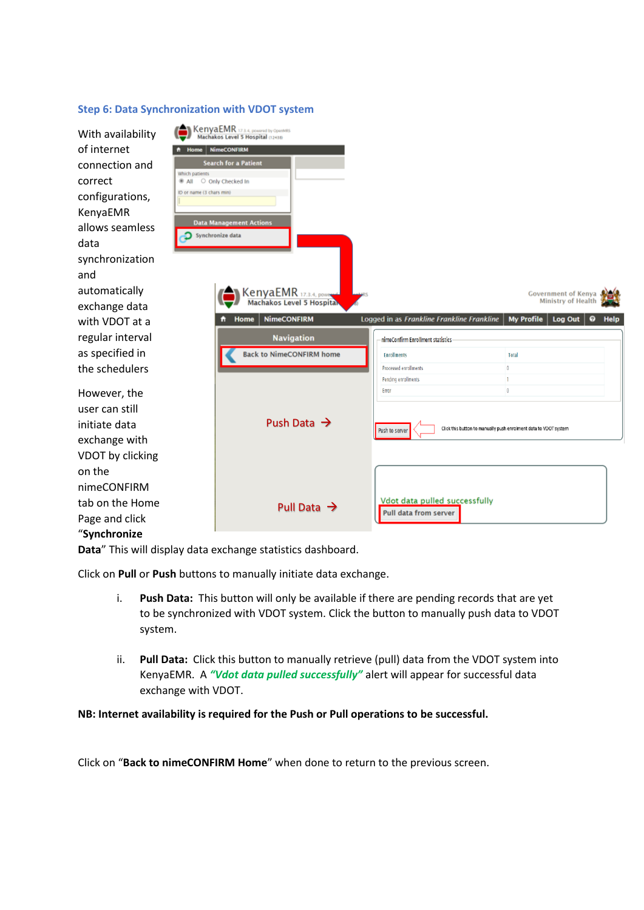## **Step 6: Data Synchronization with VDOT system**

| With availability<br>of internet<br>connection and<br>correct<br>configurations,<br>KenyaEMR | Which patients<br>All O Only Checked In<br>ID or name (3 chars min) | KenyaEMR 17.3.4, powered by OpenMRS<br><b>Home</b> NimeCONFIRM<br><b>Search for a Patient</b> |                              |                                                        |                                                                  |                               |
|----------------------------------------------------------------------------------------------|---------------------------------------------------------------------|-----------------------------------------------------------------------------------------------|------------------------------|--------------------------------------------------------|------------------------------------------------------------------|-------------------------------|
| allows seamless                                                                              |                                                                     | <b>Data Management Actions</b><br>Synchronize data                                            |                              |                                                        |                                                                  |                               |
| data                                                                                         |                                                                     |                                                                                               |                              |                                                        |                                                                  |                               |
| synchronization<br>and                                                                       |                                                                     |                                                                                               |                              |                                                        |                                                                  |                               |
| automatically<br>exchange data                                                               |                                                                     | KenyaEMR 17.3.4, power<br><b>Machakos Level 5 Hospital</b>                                    |                              |                                                        | <b>Government of Kenya</b><br>Ministry of Health                 |                               |
| with VDOT at a                                                                               |                                                                     | <b>NimeCONFIRM</b><br>Home<br>n                                                               |                              | Logged in as Frankline Frankline Frankline             | <b>My Profile</b><br>Log Out                                     | $\boldsymbol{\Omega}$<br>Help |
| regular interval                                                                             |                                                                     | <b>Navigation</b>                                                                             |                              | nimeConfirm Enrollment statistics                      |                                                                  |                               |
| as specified in                                                                              |                                                                     | <b>Back to NimeCONFIRM home</b>                                                               | <b>Enrollments</b>           |                                                        | Total                                                            |                               |
| the schedulers                                                                               |                                                                     |                                                                                               | Processed enrollments        |                                                        | $\overline{0}$<br>T.                                             |                               |
| However, the                                                                                 |                                                                     |                                                                                               | Pending enrollments<br>Error |                                                        | $\circ$                                                          |                               |
| user can still<br>initiate data                                                              |                                                                     | Push Data $\rightarrow$                                                                       | Push to server               |                                                        | Click this button to manually push enrolment data to VDOT system |                               |
| exchange with                                                                                |                                                                     |                                                                                               |                              |                                                        |                                                                  |                               |
| VDOT by clicking                                                                             |                                                                     |                                                                                               |                              |                                                        |                                                                  |                               |
| on the                                                                                       |                                                                     |                                                                                               |                              |                                                        |                                                                  |                               |
| nimeCONFIRM                                                                                  |                                                                     |                                                                                               |                              |                                                        |                                                                  |                               |
| tab on the Home                                                                              |                                                                     | Pull Data $\rightarrow$                                                                       |                              | Vdot data pulled successfully<br>Pull data from server |                                                                  |                               |
| Page and click                                                                               |                                                                     |                                                                                               |                              |                                                        |                                                                  |                               |
| "Synchronize                                                                                 |                                                                     |                                                                                               |                              |                                                        |                                                                  |                               |

**Data**" This will display data exchange statistics dashboard.

Click on **Pull** or **Push** buttons to manually initiate data exchange.

- i. **Push Data:** This button will only be available if there are pending records that are yet to be synchronized with VDOT system. Click the button to manually push data to VDOT system.
- ii. **Pull Data:** Click this button to manually retrieve (pull) data from the VDOT system into KenyaEMR. A *"Vdot data pulled successfully"* alert will appear for successful data exchange with VDOT.

## **NB: Internet availability is required for the Push or Pull operations to be successful.**

Click on "**Back to nimeCONFIRM Home**" when done to return to the previous screen.